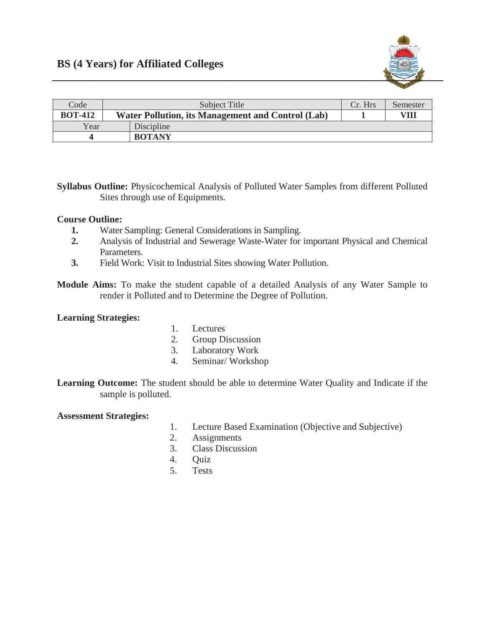

| Code           | Subject Title                                            |               | Cr. Hrs | Semester |
|----------------|----------------------------------------------------------|---------------|---------|----------|
| <b>BOT-412</b> | <b>Water Pollution, its Management and Control (Lab)</b> |               |         | VIII     |
| Year           |                                                          | Discipline    |         |          |
|                |                                                          | <b>BOTANY</b> |         |          |

Syllabus Outline: Physicochemical Analysis of Polluted Water Samples from different Polluted Sites through use of Equipments.

## **Course Outline:**

- 1. Water Sampling: General Considerations in Sampling.
- $2.$ Analysis of Industrial and Sewerage Waste-Water for important Physical and Chemical Parameters.
- Field Work: Visit to Industrial Sites showing Water Pollution.  $3.$
- Module Aims: To make the student capable of a detailed Analysis of any Water Sample to render it Polluted and to Determine the Degree of Pollution.

## **Learning Strategies:**

- $1.1$ Lectures
- 2. Group Discussion
- Laboratory Work  $3.$
- Seminar/Workshop 4.

Learning Outcome: The student should be able to determine Water Quality and Indicate if the sample is polluted.

## **Assessment Strategies:**

- $1.$ Lecture Based Examination (Objective and Subjective)
- $2<sub>1</sub>$ **Assignments**
- $3.$ **Class Discussion**
- **Ouiz**  $4<sup>1</sup>$
- $5.$ **Tests**